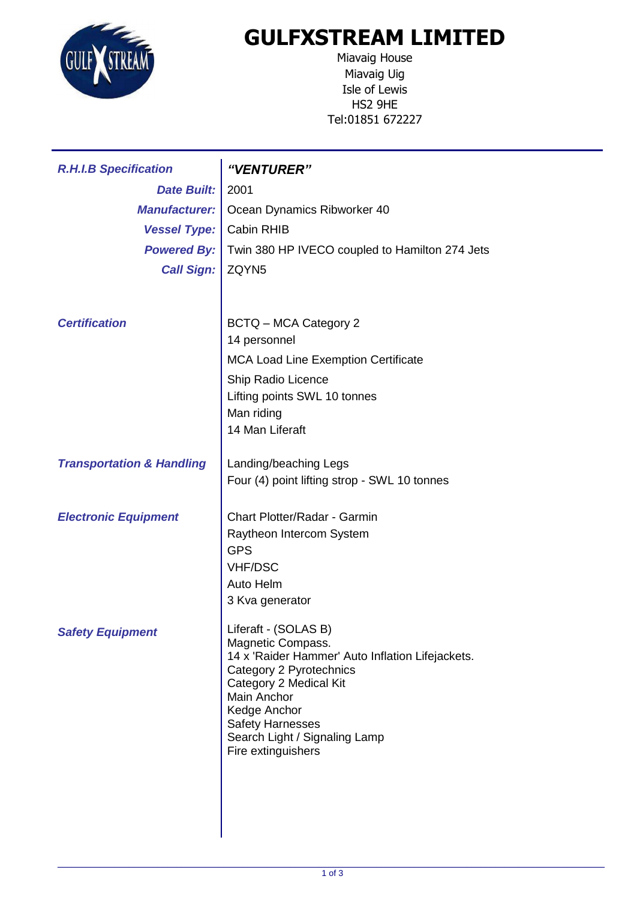

## **GULFXSTREAM LIMITED**

Miavaig House Miavaig Uig Isle of Lewis HS2 9HE Tel:01851 672227

| <b>R.H.I.B Specification</b>         | "VENTURER"                                                                  |
|--------------------------------------|-----------------------------------------------------------------------------|
| <b>Date Built:</b>                   | 2001                                                                        |
| <b>Manufacturer:</b>                 | Ocean Dynamics Ribworker 40                                                 |
| <b>Vessel Type:</b>                  | Cabin RHIB                                                                  |
| <b>Powered By:</b>                   | Twin 380 HP IVECO coupled to Hamilton 274 Jets                              |
| <b>Call Sign:</b>                    | ZQYN5                                                                       |
|                                      |                                                                             |
|                                      |                                                                             |
| <b>Certification</b>                 | <b>BCTQ - MCA Category 2</b><br>14 personnel                                |
|                                      | <b>MCA Load Line Exemption Certificate</b>                                  |
|                                      | Ship Radio Licence                                                          |
|                                      | Lifting points SWL 10 tonnes                                                |
|                                      | Man riding                                                                  |
|                                      | 14 Man Liferaft                                                             |
|                                      |                                                                             |
| <b>Transportation &amp; Handling</b> | Landing/beaching Legs                                                       |
|                                      | Four (4) point lifting strop - SWL 10 tonnes                                |
| <b>Electronic Equipment</b>          | Chart Plotter/Radar - Garmin                                                |
|                                      | Raytheon Intercom System                                                    |
|                                      | <b>GPS</b>                                                                  |
|                                      | <b>VHF/DSC</b>                                                              |
|                                      | Auto Helm                                                                   |
|                                      | 3 Kva generator                                                             |
| <b>Safety Equipment</b>              | Liferaft - (SOLAS B)                                                        |
|                                      | Magnetic Compass.                                                           |
|                                      | 14 x 'Raider Hammer' Auto Inflation Lifejackets.<br>Category 2 Pyrotechnics |
|                                      | Category 2 Medical Kit                                                      |
|                                      | Main Anchor                                                                 |
|                                      | Kedge Anchor<br><b>Safety Harnesses</b>                                     |
|                                      | Search Light / Signaling Lamp                                               |
|                                      | Fire extinguishers                                                          |
|                                      |                                                                             |
|                                      |                                                                             |
|                                      |                                                                             |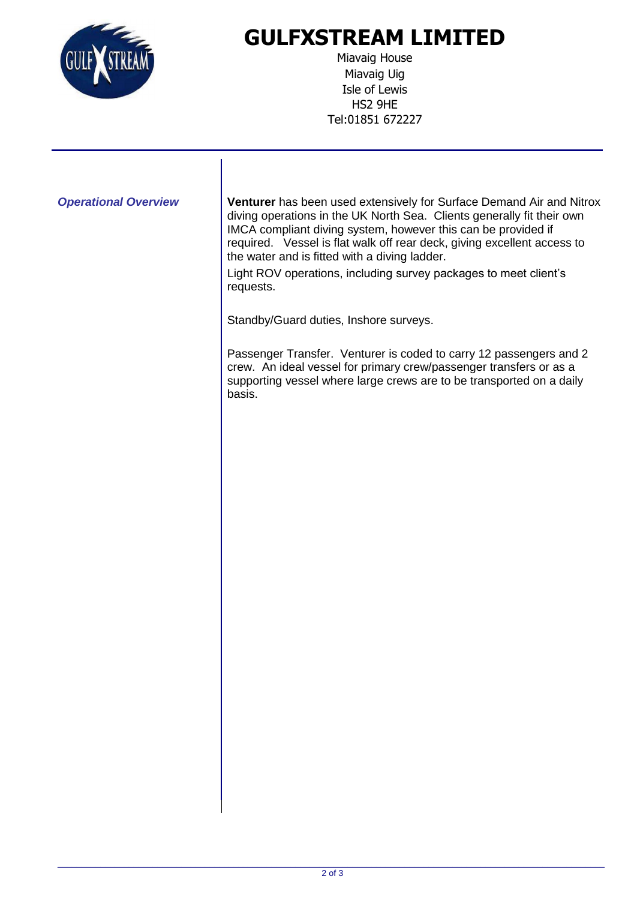

## **GULFXSTREAM LIMITED**

Miavaig House Miavaig Uig Isle of Lewis HS2 9HE Tel:01851 672227

| <b>Operational Overview</b> | Venturer has been used extensively for Surface Demand Air and Nitrox<br>diving operations in the UK North Sea. Clients generally fit their own<br>IMCA compliant diving system, however this can be provided if<br>required. Vessel is flat walk off rear deck, giving excellent access to<br>the water and is fitted with a diving ladder.<br>Light ROV operations, including survey packages to meet client's<br>requests. |
|-----------------------------|------------------------------------------------------------------------------------------------------------------------------------------------------------------------------------------------------------------------------------------------------------------------------------------------------------------------------------------------------------------------------------------------------------------------------|
|                             | Standby/Guard duties, Inshore surveys.                                                                                                                                                                                                                                                                                                                                                                                       |
|                             | Passenger Transfer. Venturer is coded to carry 12 passengers and 2<br>crew. An ideal vessel for primary crew/passenger transfers or as a<br>supporting vessel where large crews are to be transported on a daily<br>basis.                                                                                                                                                                                                   |
|                             |                                                                                                                                                                                                                                                                                                                                                                                                                              |
|                             |                                                                                                                                                                                                                                                                                                                                                                                                                              |
|                             |                                                                                                                                                                                                                                                                                                                                                                                                                              |
|                             |                                                                                                                                                                                                                                                                                                                                                                                                                              |
|                             |                                                                                                                                                                                                                                                                                                                                                                                                                              |
|                             |                                                                                                                                                                                                                                                                                                                                                                                                                              |
|                             |                                                                                                                                                                                                                                                                                                                                                                                                                              |